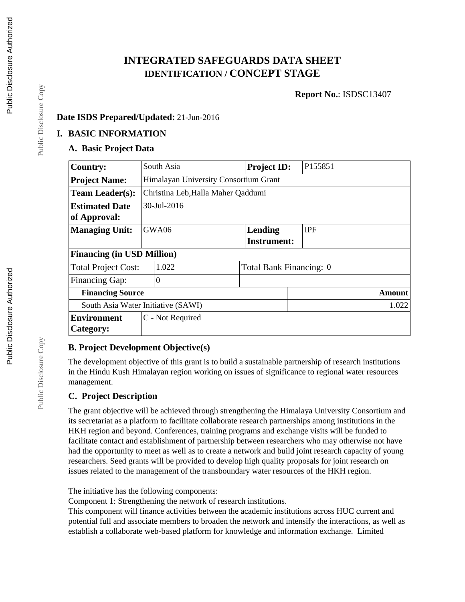# **INTEGRATED SAFEGUARDS DATA SHEET IDENTIFICATION / CONCEPT STAGE**

**Report No.**: ISDSC13407

# **Date ISDS Prepared/Updated:** 21-Jun-2016

# **I. BASIC INFORMATION**

# **A. Basic Project Data**

| <b>Country:</b>                    |                                    | South Asia                            | <b>Project ID:</b>      | P155851    |  |  |  |
|------------------------------------|------------------------------------|---------------------------------------|-------------------------|------------|--|--|--|
| <b>Project Name:</b>               |                                    | Himalayan University Consortium Grant |                         |            |  |  |  |
| <b>Team Leader(s):</b>             | Christina Leb, Halla Maher Qaddumi |                                       |                         |            |  |  |  |
| <b>Estimated Date</b>              | 30-Jul-2016                        |                                       |                         |            |  |  |  |
| of Approval:                       |                                    |                                       |                         |            |  |  |  |
| <b>Managing Unit:</b>              |                                    | GWA06                                 | Lending                 | <b>IPF</b> |  |  |  |
|                                    |                                    |                                       | <b>Instrument:</b>      |            |  |  |  |
| <b>Financing (in USD Million)</b>  |                                    |                                       |                         |            |  |  |  |
| <b>Total Project Cost:</b>         |                                    | 1.022                                 | Total Bank Financing: 0 |            |  |  |  |
| <b>Financing Gap:</b>              |                                    | $\overline{0}$                        |                         |            |  |  |  |
| <b>Financing Source</b>            |                                    |                                       |                         | Amount     |  |  |  |
| South Asia Water Initiative (SAWI) |                                    |                                       |                         | 1.022      |  |  |  |
| <b>Environment</b>                 | C - Not Required                   |                                       |                         |            |  |  |  |
| Category:                          |                                    |                                       |                         |            |  |  |  |

# **B. Project Development Objective(s)**

The development objective of this grant is to build a sustainable partnership of research institutions in the Hindu Kush Himalayan region working on issues of significance to regional water resources management.

# **C. Project Description**

The grant objective will be achieved through strengthening the Himalaya University Consortium and its secretariat as a platform to facilitate collaborate research partnerships among institutions in the HKH region and beyond. Conferences, training programs and exchange visits will be funded to facilitate contact and establishment of partnership between researchers who may otherwise not have had the opportunity to meet as well as to create a network and build joint research capacity of young researchers. Seed grants will be provided to develop high quality proposals for joint research on issues related to the management of the transboundary water resources of the HKH region.

The initiative has the following components:

Component 1: Strengthening the network of research institutions.

This component will finance activities between the academic institutions across HUC current and potential full and associate members to broaden the network and intensify the interactions, as well as establish a collaborate web-based platform for knowledge and information exchange. Limited

Public Disclosure Copy

Public Disclosure Copy

Public Disclosure Copy

Public Disclosure Copy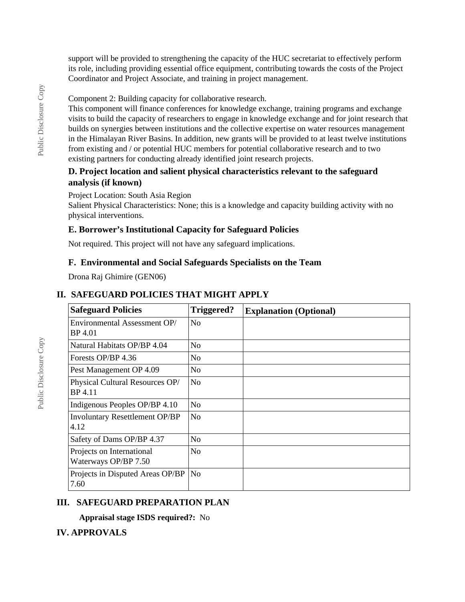support will be provided to strengthening the capacity of the HUC secretariat to effectively perform its role, including providing essential office equipment, contributing towards the costs of the Project Coordinator and Project Associate, and training in project management.

Component 2: Building capacity for collaborative research.

This component will finance conferences for knowledge exchange, training programs and exchange visits to build the capacity of researchers to engage in knowledge exchange and for joint research that builds on synergies between institutions and the collective expertise on water resources management in the Himalayan River Basins. In addition, new grants will be provided to at least twelve institutions from existing and / or potential HUC members for potential collaborative research and to two existing partners for conducting already identified joint research projects.

# **D. Project location and salient physical characteristics relevant to the safeguard analysis (if known)**

#### Project Location: South Asia Region

Salient Physical Characteristics: None; this is a knowledge and capacity building activity with no physical interventions.

# **E. Borrower's Institutional Capacity for Safeguard Policies**

Not required. This project will not have any safeguard implications.

#### **F. Environmental and Social Safeguards Specialists on the Team**

Drona Raj Ghimire (GEN06)

# **II. SAFEGUARD POLICIES THAT MIGHT APPLY**

| <b>Safeguard Policies</b>                         | Triggered?     | <b>Explanation (Optional)</b> |
|---------------------------------------------------|----------------|-------------------------------|
| Environmental Assessment OP/<br>BP 4.01           | N <sub>o</sub> |                               |
| Natural Habitats OP/BP 4.04                       | N <sub>0</sub> |                               |
| Forests OP/BP 4.36                                | <b>No</b>      |                               |
| Pest Management OP 4.09                           | N <sub>o</sub> |                               |
| Physical Cultural Resources OP/<br>BP 4.11        | N <sub>0</sub> |                               |
| Indigenous Peoples OP/BP 4.10                     | N <sub>o</sub> |                               |
| <b>Involuntary Resettlement OP/BP</b><br>4.12     | N <sub>o</sub> |                               |
| Safety of Dams OP/BP 4.37                         | N <sub>o</sub> |                               |
| Projects on International<br>Waterways OP/BP 7.50 | N <sub>0</sub> |                               |
| Projects in Disputed Areas OP/BP<br>7.60          | N <sub>o</sub> |                               |

# **III. SAFEGUARD PREPARATION PLAN**

**Appraisal stage ISDS required?:** No

# **IV. APPROVALS**